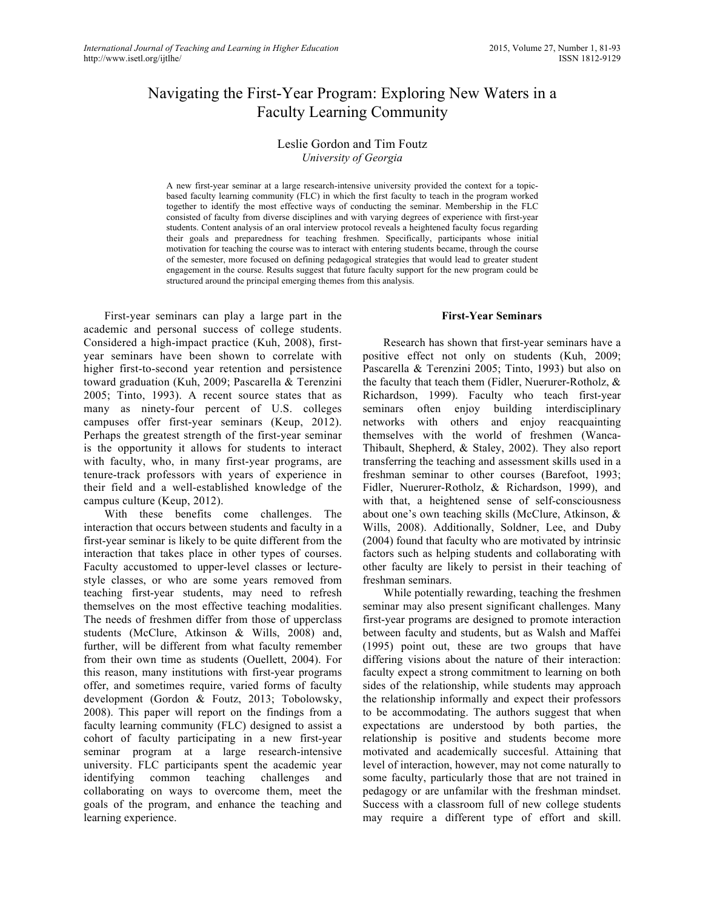# Navigating the First-Year Program: Exploring New Waters in a Faculty Learning Community

# Leslie Gordon and Tim Foutz *University of Georgia*

A new first-year seminar at a large research-intensive university provided the context for a topicbased faculty learning community (FLC) in which the first faculty to teach in the program worked together to identify the most effective ways of conducting the seminar. Membership in the FLC consisted of faculty from diverse disciplines and with varying degrees of experience with first-year students. Content analysis of an oral interview protocol reveals a heightened faculty focus regarding their goals and preparedness for teaching freshmen. Specifically, participants whose initial motivation for teaching the course was to interact with entering students became, through the course of the semester, more focused on defining pedagogical strategies that would lead to greater student engagement in the course. Results suggest that future faculty support for the new program could be structured around the principal emerging themes from this analysis.

First-year seminars can play a large part in the academic and personal success of college students. Considered a high-impact practice (Kuh, 2008), firstyear seminars have been shown to correlate with higher first-to-second year retention and persistence toward graduation (Kuh, 2009; Pascarella & Terenzini 2005; Tinto, 1993). A recent source states that as many as ninety-four percent of U.S. colleges campuses offer first-year seminars (Keup, 2012). Perhaps the greatest strength of the first-year seminar is the opportunity it allows for students to interact with faculty, who, in many first-year programs, are tenure-track professors with years of experience in their field and a well-established knowledge of the campus culture (Keup, 2012).

With these benefits come challenges. The interaction that occurs between students and faculty in a first-year seminar is likely to be quite different from the interaction that takes place in other types of courses. Faculty accustomed to upper-level classes or lecturestyle classes, or who are some years removed from teaching first-year students, may need to refresh themselves on the most effective teaching modalities. The needs of freshmen differ from those of upperclass students (McClure, Atkinson & Wills, 2008) and, further, will be different from what faculty remember from their own time as students (Ouellett, 2004). For this reason, many institutions with first-year programs offer, and sometimes require, varied forms of faculty development (Gordon & Foutz, 2013; Tobolowsky, 2008). This paper will report on the findings from a faculty learning community (FLC) designed to assist a cohort of faculty participating in a new first-year seminar program at a large research-intensive university. FLC participants spent the academic year identifying common teaching challenges and collaborating on ways to overcome them, meet the goals of the program, and enhance the teaching and learning experience.

#### **First-Year Seminars**

Research has shown that first-year seminars have a positive effect not only on students (Kuh, 2009; Pascarella & Terenzini 2005; Tinto, 1993) but also on the faculty that teach them (Fidler, Nuerurer-Rotholz, & Richardson, 1999). Faculty who teach first-year seminars often enjoy building interdisciplinary networks with others and enjoy reacquainting themselves with the world of freshmen (Wanca-Thibault, Shepherd, & Staley, 2002). They also report transferring the teaching and assessment skills used in a freshman seminar to other courses (Barefoot, 1993; Fidler, Nuerurer-Rotholz, & Richardson, 1999), and with that, a heightened sense of self-consciousness about one's own teaching skills (McClure, Atkinson, & Wills, 2008). Additionally, Soldner, Lee, and Duby (2004) found that faculty who are motivated by intrinsic factors such as helping students and collaborating with other faculty are likely to persist in their teaching of freshman seminars.

While potentially rewarding, teaching the freshmen seminar may also present significant challenges. Many first-year programs are designed to promote interaction between faculty and students, but as Walsh and Maffei (1995) point out, these are two groups that have differing visions about the nature of their interaction: faculty expect a strong commitment to learning on both sides of the relationship, while students may approach the relationship informally and expect their professors to be accommodating. The authors suggest that when expectations are understood by both parties, the relationship is positive and students become more motivated and academically succesful. Attaining that level of interaction, however, may not come naturally to some faculty, particularly those that are not trained in pedagogy or are unfamilar with the freshman mindset. Success with a classroom full of new college students may require a different type of effort and skill.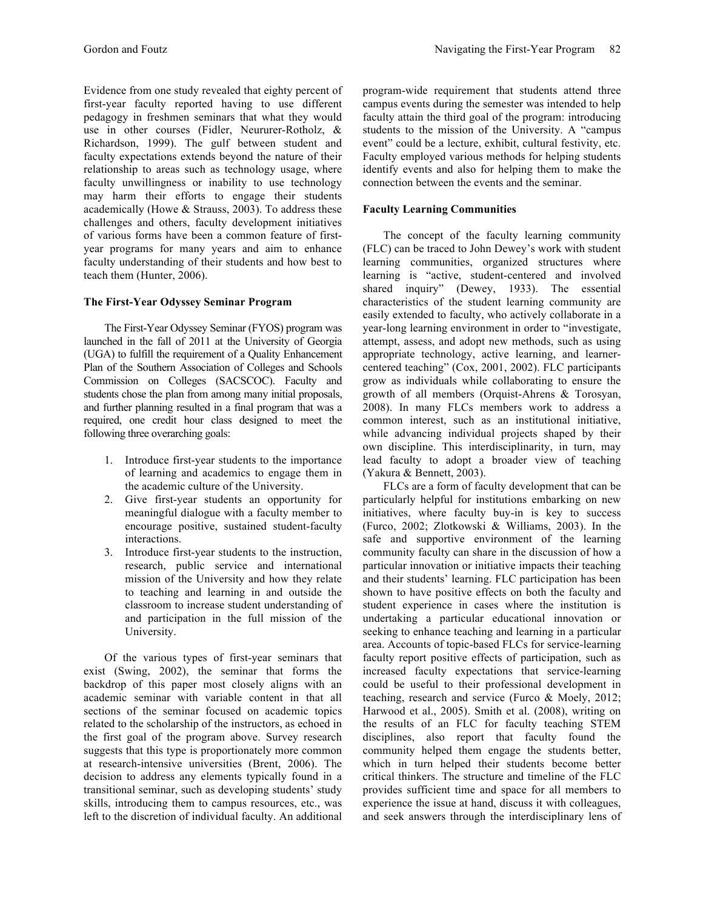Evidence from one study revealed that eighty percent of first-year faculty reported having to use different pedagogy in freshmen seminars that what they would use in other courses (Fidler, Neururer-Rotholz, & Richardson, 1999). The gulf between student and faculty expectations extends beyond the nature of their relationship to areas such as technology usage, where faculty unwillingness or inability to use technology may harm their efforts to engage their students academically (Howe & Strauss, 2003). To address these challenges and others, faculty development initiatives of various forms have been a common feature of firstyear programs for many years and aim to enhance faculty understanding of their students and how best to teach them (Hunter, 2006).

### **The First-Year Odyssey Seminar Program**

The First-Year Odyssey Seminar (FYOS) program was launched in the fall of 2011 at the University of Georgia (UGA) to fulfill the requirement of a Quality Enhancement Plan of the Southern Association of Colleges and Schools Commission on Colleges (SACSCOC). Faculty and students chose the plan from among many initial proposals, and further planning resulted in a final program that was a required, one credit hour class designed to meet the following three overarching goals:

- 1. Introduce first-year students to the importance of learning and academics to engage them in the academic culture of the University.
- 2. Give first-year students an opportunity for meaningful dialogue with a faculty member to encourage positive, sustained student-faculty interactions.
- 3. Introduce first-year students to the instruction, research, public service and international mission of the University and how they relate to teaching and learning in and outside the classroom to increase student understanding of and participation in the full mission of the University.

Of the various types of first-year seminars that exist (Swing, 2002), the seminar that forms the backdrop of this paper most closely aligns with an academic seminar with variable content in that all sections of the seminar focused on academic topics related to the scholarship of the instructors, as echoed in the first goal of the program above. Survey research suggests that this type is proportionately more common at research-intensive universities (Brent, 2006). The decision to address any elements typically found in a transitional seminar, such as developing students' study skills, introducing them to campus resources, etc., was left to the discretion of individual faculty. An additional program-wide requirement that students attend three campus events during the semester was intended to help faculty attain the third goal of the program: introducing students to the mission of the University. A "campus event" could be a lecture, exhibit, cultural festivity, etc. Faculty employed various methods for helping students identify events and also for helping them to make the connection between the events and the seminar.

# **Faculty Learning Communities**

The concept of the faculty learning community (FLC) can be traced to John Dewey's work with student learning communities, organized structures where learning is "active, student-centered and involved shared inquiry" (Dewey, 1933). The essential characteristics of the student learning community are easily extended to faculty, who actively collaborate in a year-long learning environment in order to "investigate, attempt, assess, and adopt new methods, such as using appropriate technology, active learning, and learnercentered teaching" (Cox, 2001, 2002). FLC participants grow as individuals while collaborating to ensure the growth of all members (Orquist-Ahrens & Torosyan, 2008). In many FLCs members work to address a common interest, such as an institutional initiative, while advancing individual projects shaped by their own discipline. This interdisciplinarity, in turn, may lead faculty to adopt a broader view of teaching (Yakura & Bennett, 2003).

FLCs are a form of faculty development that can be particularly helpful for institutions embarking on new initiatives, where faculty buy-in is key to success (Furco, 2002; Zlotkowski & Williams, 2003). In the safe and supportive environment of the learning community faculty can share in the discussion of how a particular innovation or initiative impacts their teaching and their students' learning. FLC participation has been shown to have positive effects on both the faculty and student experience in cases where the institution is undertaking a particular educational innovation or seeking to enhance teaching and learning in a particular area. Accounts of topic-based FLCs for service-learning faculty report positive effects of participation, such as increased faculty expectations that service-learning could be useful to their professional development in teaching, research and service (Furco & Moely, 2012; Harwood et al., 2005). Smith et al. (2008), writing on the results of an FLC for faculty teaching STEM disciplines, also report that faculty found the community helped them engage the students better, which in turn helped their students become better critical thinkers. The structure and timeline of the FLC provides sufficient time and space for all members to experience the issue at hand, discuss it with colleagues, and seek answers through the interdisciplinary lens of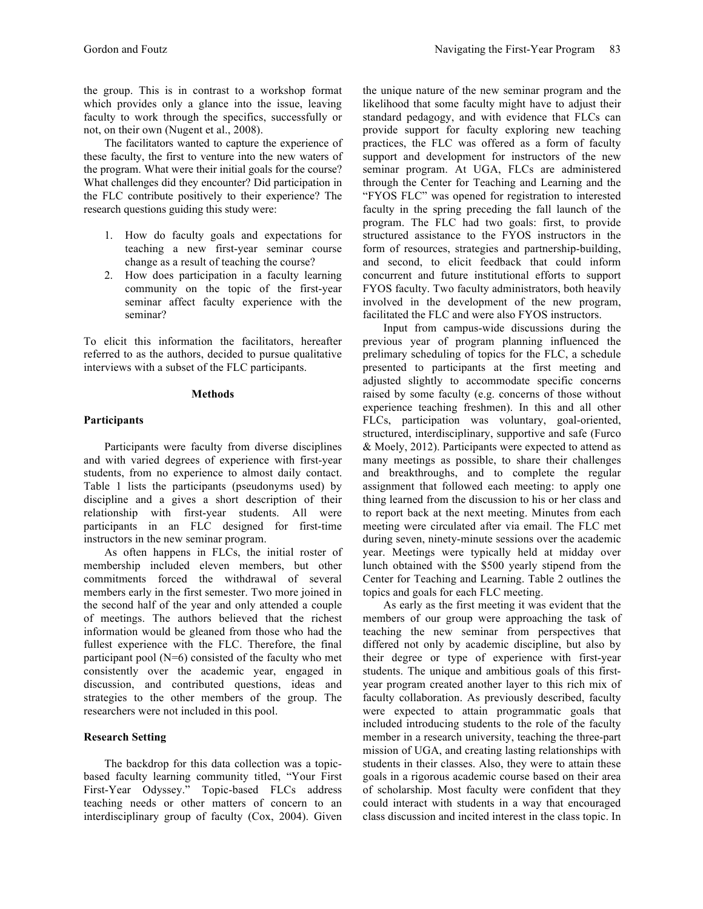the group. This is in contrast to a workshop format which provides only a glance into the issue, leaving faculty to work through the specifics, successfully or not, on their own (Nugent et al., 2008).

The facilitators wanted to capture the experience of these faculty, the first to venture into the new waters of the program. What were their initial goals for the course? What challenges did they encounter? Did participation in the FLC contribute positively to their experience? The research questions guiding this study were:

- 1. How do faculty goals and expectations for teaching a new first-year seminar course change as a result of teaching the course?
- 2. How does participation in a faculty learning community on the topic of the first-year seminar affect faculty experience with the seminar?

To elicit this information the facilitators, hereafter referred to as the authors, decided to pursue qualitative interviews with a subset of the FLC participants.

#### **Methods**

## **Participants**

Participants were faculty from diverse disciplines and with varied degrees of experience with first-year students, from no experience to almost daily contact. Table 1 lists the participants (pseudonyms used) by discipline and a gives a short description of their relationship with first-year students. All were participants in an FLC designed for first-time instructors in the new seminar program.

As often happens in FLCs, the initial roster of membership included eleven members, but other commitments forced the withdrawal of several members early in the first semester. Two more joined in the second half of the year and only attended a couple of meetings. The authors believed that the richest information would be gleaned from those who had the fullest experience with the FLC. Therefore, the final participant pool (N=6) consisted of the faculty who met consistently over the academic year, engaged in discussion, and contributed questions, ideas and strategies to the other members of the group. The researchers were not included in this pool.

# **Research Setting**

The backdrop for this data collection was a topicbased faculty learning community titled, "Your First First-Year Odyssey." Topic-based FLCs address teaching needs or other matters of concern to an interdisciplinary group of faculty (Cox, 2004). Given the unique nature of the new seminar program and the likelihood that some faculty might have to adjust their standard pedagogy, and with evidence that FLCs can provide support for faculty exploring new teaching practices, the FLC was offered as a form of faculty support and development for instructors of the new seminar program. At UGA, FLCs are administered through the Center for Teaching and Learning and the "FYOS FLC" was opened for registration to interested faculty in the spring preceding the fall launch of the program. The FLC had two goals: first, to provide structured assistance to the FYOS instructors in the form of resources, strategies and partnership-building, and second, to elicit feedback that could inform concurrent and future institutional efforts to support FYOS faculty. Two faculty administrators, both heavily involved in the development of the new program, facilitated the FLC and were also FYOS instructors.

Input from campus-wide discussions during the previous year of program planning influenced the prelimary scheduling of topics for the FLC, a schedule presented to participants at the first meeting and adjusted slightly to accommodate specific concerns raised by some faculty (e.g. concerns of those without experience teaching freshmen). In this and all other FLCs, participation was voluntary, goal-oriented, structured, interdisciplinary, supportive and safe (Furco & Moely, 2012). Participants were expected to attend as many meetings as possible, to share their challenges and breakthroughs, and to complete the regular assignment that followed each meeting: to apply one thing learned from the discussion to his or her class and to report back at the next meeting. Minutes from each meeting were circulated after via email. The FLC met during seven, ninety-minute sessions over the academic year. Meetings were typically held at midday over lunch obtained with the \$500 yearly stipend from the Center for Teaching and Learning. Table 2 outlines the topics and goals for each FLC meeting.

As early as the first meeting it was evident that the members of our group were approaching the task of teaching the new seminar from perspectives that differed not only by academic discipline, but also by their degree or type of experience with first-year students. The unique and ambitious goals of this firstyear program created another layer to this rich mix of faculty collaboration. As previously described, faculty were expected to attain programmatic goals that included introducing students to the role of the faculty member in a research university, teaching the three-part mission of UGA, and creating lasting relationships with students in their classes. Also, they were to attain these goals in a rigorous academic course based on their area of scholarship. Most faculty were confident that they could interact with students in a way that encouraged class discussion and incited interest in the class topic. In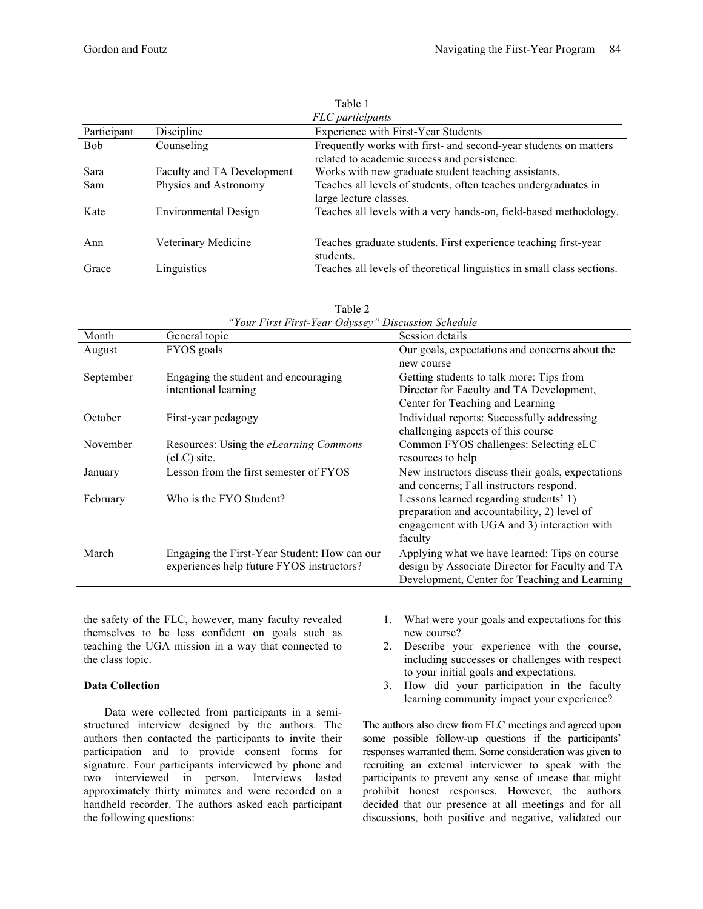| FLC participants |                             |                                                                        |  |  |  |  |
|------------------|-----------------------------|------------------------------------------------------------------------|--|--|--|--|
| Participant      | Discipline                  | Experience with First-Year Students                                    |  |  |  |  |
| <b>Bob</b>       | Counseling                  | Frequently works with first- and second-year students on matters       |  |  |  |  |
|                  |                             | related to academic success and persistence.                           |  |  |  |  |
| Sara             | Faculty and TA Development  | Works with new graduate student teaching assistants.                   |  |  |  |  |
| Sam              | Physics and Astronomy       | Teaches all levels of students, often teaches undergraduates in        |  |  |  |  |
|                  |                             | large lecture classes.                                                 |  |  |  |  |
| Kate             | <b>Environmental Design</b> | Teaches all levels with a very hands-on, field-based methodology.      |  |  |  |  |
|                  |                             |                                                                        |  |  |  |  |
| Ann              | Veterinary Medicine         | Teaches graduate students. First experience teaching first-year        |  |  |  |  |
|                  |                             | students.                                                              |  |  |  |  |
|                  |                             |                                                                        |  |  |  |  |
| Grace            | Linguistics                 | Teaches all levels of theoretical linguistics in small class sections. |  |  |  |  |

Table 1

|           | Tour Pirst Pirst-Tear Oayssey                | Discussion Scheaute                               |
|-----------|----------------------------------------------|---------------------------------------------------|
| Month     | General topic                                | Session details                                   |
| August    | FYOS goals                                   | Our goals, expectations and concerns about the    |
|           |                                              | new course                                        |
| September | Engaging the student and encouraging         | Getting students to talk more: Tips from          |
|           | intentional learning                         | Director for Faculty and TA Development,          |
|           |                                              | Center for Teaching and Learning                  |
| October   | First-year pedagogy                          | Individual reports: Successfully addressing       |
|           |                                              | challenging aspects of this course                |
| November  | Resources: Using the eLearning Commons       | Common FYOS challenges: Selecting eLC             |
|           | (eLC) site.                                  | resources to help                                 |
| January   | Lesson from the first semester of FYOS       | New instructors discuss their goals, expectations |
|           |                                              | and concerns; Fall instructors respond.           |
| February  | Who is the FYO Student?                      | Lessons learned regarding students' 1)            |
|           |                                              | preparation and accountability, 2) level of       |
|           |                                              | engagement with UGA and 3) interaction with       |
|           |                                              | faculty                                           |
| March     | Engaging the First-Year Student: How can our | Applying what we have learned: Tips on course     |
|           | experiences help future FYOS instructors?    | design by Associate Director for Faculty and TA   |
|           |                                              | Development, Center for Teaching and Learning     |

| Table 2                                             |
|-----------------------------------------------------|
| "Your First First-Year Odyssey" Discussion Schedule |

the safety of the FLC, however, many faculty revealed themselves to be less confident on goals such as teaching the UGA mission in a way that connected to the class topic.

## **Data Collection**

Data were collected from participants in a semistructured interview designed by the authors. The authors then contacted the participants to invite their participation and to provide consent forms for signature. Four participants interviewed by phone and two interviewed in person. Interviews lasted approximately thirty minutes and were recorded on a handheld recorder. The authors asked each participant the following questions:

- 1. What were your goals and expectations for this new course?
- 2. Describe your experience with the course, including successes or challenges with respect to your initial goals and expectations.
- 3. How did your participation in the faculty learning community impact your experience?

The authors also drew from FLC meetings and agreed upon some possible follow-up questions if the participants' responses warranted them. Some consideration was given to recruiting an external interviewer to speak with the participants to prevent any sense of unease that might prohibit honest responses. However, the authors decided that our presence at all meetings and for all discussions, both positive and negative, validated our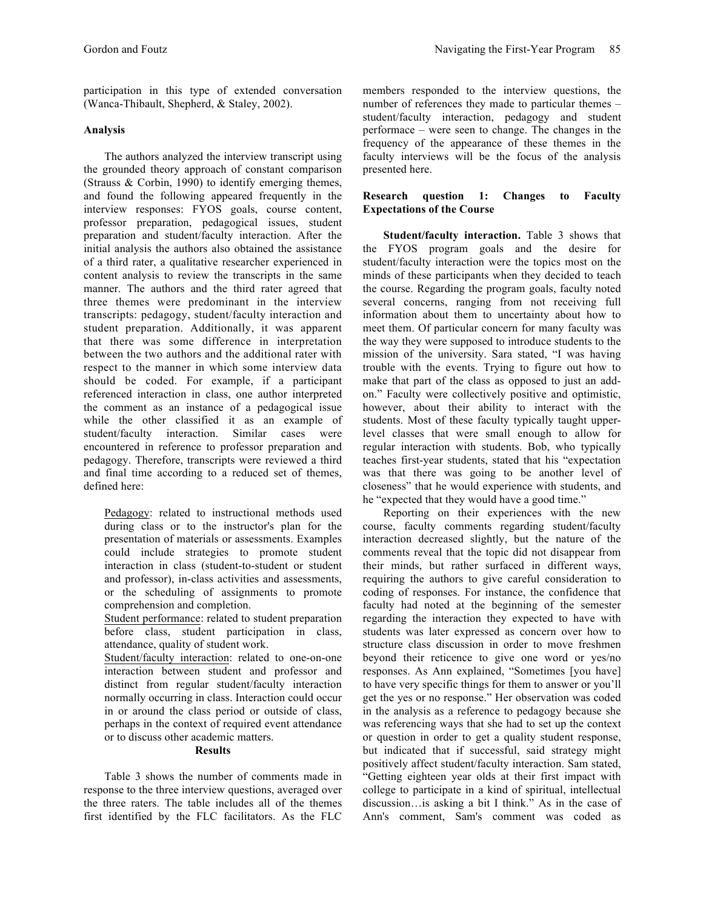participation in this type of extended conversation (Wanca-Thibault, Shepherd, & Staley, 2002).

# **Analysis**

The authors analyzed the interview transcript using the grounded theory approach of constant comparison (Strauss & Corbin, 1990) to identify emerging themes, and found the following appeared frequently in the interview responses: FYOS goals, course content, professor preparation, pedagogical issues, student preparation and student/faculty interaction. After the initial analysis the authors also obtained the assistance of a third rater, a qualitative researcher experienced in content analysis to review the transcripts in the same manner. The authors and the third rater agreed that three themes were predominant in the interview transcripts: pedagogy, student/faculty interaction and student preparation. Additionally, it was apparent that there was some difference in interpretation between the two authors and the additional rater with respect to the manner in which some interview data should be coded. For example, if a participant referenced interaction in class, one author interpreted the comment as an instance of a pedagogical issue while the other classified it as an example of student/faculty interaction. Similar cases were encountered in reference to professor preparation and pedagogy. Therefore, transcripts were reviewed a third and final time according to a reduced set of themes, defined here:

Pedagogy: related to instructional methods used during class or to the instructor's plan for the presentation of materials or assessments. Examples could include strategies to promote student interaction in class (student-to-student or student and professor), in-class activities and assessments, or the scheduling of assignments to promote comprehension and completion.

Student performance: related to student preparation before class, student participation in class, attendance, quality of student work.

Student/faculty interaction: related to one-on-one interaction between student and professor and distinct from regular student/faculty interaction normally occurring in class. Interaction could occur in or around the class period or outside of class, perhaps in the context of required event attendance or to discuss other academic matters.

#### **Results**

Table 3 shows the number of comments made in response to the three interview questions, averaged over the three raters. The table includes all of the themes first identified by the FLC facilitators. As the FLC members responded to the interview questions, the number of references they made to particular themes – student/faculty interaction, pedagogy and student performace – were seen to change. The changes in the frequency of the appearance of these themes in the faculty interviews will be the focus of the analysis presented here.

## **Research question 1: Changes to Faculty Expectations of the Course**

**Student/faculty interaction.** Table 3 shows that the FYOS program goals and the desire for student/faculty interaction were the topics most on the minds of these participants when they decided to teach the course. Regarding the program goals, faculty noted several concerns, ranging from not receiving full information about them to uncertainty about how to meet them. Of particular concern for many faculty was the way they were supposed to introduce students to the mission of the university. Sara stated, "I was having trouble with the events. Trying to figure out how to make that part of the class as opposed to just an addon." Faculty were collectively positive and optimistic, however, about their ability to interact with the students. Most of these faculty typically taught upperlevel classes that were small enough to allow for regular interaction with students. Bob, who typically teaches first-year students, stated that his "expectation was that there was going to be another level of closeness" that he would experience with students, and he "expected that they would have a good time."

Reporting on their experiences with the new course, faculty comments regarding student/faculty interaction decreased slightly, but the nature of the comments reveal that the topic did not disappear from their minds, but rather surfaced in different ways, requiring the authors to give careful consideration to coding of responses. For instance, the confidence that faculty had noted at the beginning of the semester regarding the interaction they expected to have with students was later expressed as concern over how to structure class discussion in order to move freshmen beyond their reticence to give one word or yes/no responses. As Ann explained, "Sometimes [you have] to have very specific things for them to answer or you'll get the yes or no response." Her observation was coded in the analysis as a reference to pedagogy because she was referencing ways that she had to set up the context or question in order to get a quality student response, but indicated that if successful, said strategy might positively affect student/faculty interaction. Sam stated, "Getting eighteen year olds at their first impact with college to participate in a kind of spiritual, intellectual discussion…is asking a bit I think." As in the case of Ann's comment, Sam's comment was coded as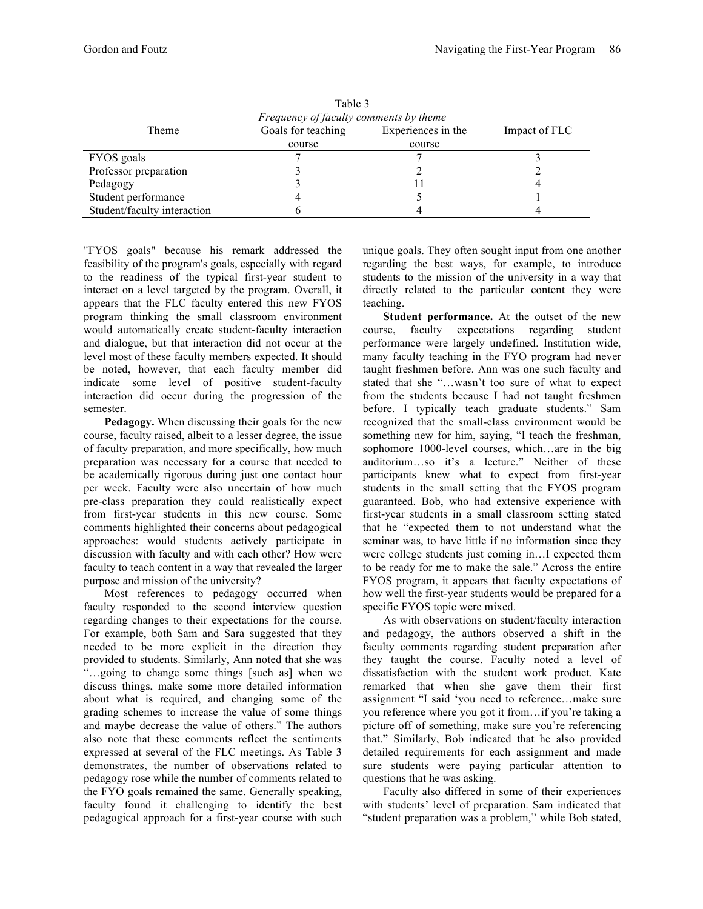| Fable 3                                |                    |                    |               |  |  |  |
|----------------------------------------|--------------------|--------------------|---------------|--|--|--|
| Frequency of faculty comments by theme |                    |                    |               |  |  |  |
| Theme                                  | Goals for teaching | Experiences in the | Impact of FLC |  |  |  |
|                                        | course             | course             |               |  |  |  |
| FYOS goals                             |                    |                    |               |  |  |  |
| Professor preparation                  |                    |                    |               |  |  |  |
| Pedagogy                               |                    |                    |               |  |  |  |
| Student performance                    |                    |                    |               |  |  |  |
| Student/faculty interaction            |                    |                    |               |  |  |  |

 $T = 1.1 - 3$ 

"FYOS goals" because his remark addressed the feasibility of the program's goals, especially with regard to the readiness of the typical first-year student to interact on a level targeted by the program. Overall, it appears that the FLC faculty entered this new FYOS program thinking the small classroom environment would automatically create student-faculty interaction and dialogue, but that interaction did not occur at the level most of these faculty members expected. It should be noted, however, that each faculty member did indicate some level of positive student-faculty interaction did occur during the progression of the semester.

**Pedagogy.** When discussing their goals for the new course, faculty raised, albeit to a lesser degree, the issue of faculty preparation, and more specifically, how much preparation was necessary for a course that needed to be academically rigorous during just one contact hour per week. Faculty were also uncertain of how much pre-class preparation they could realistically expect from first-year students in this new course. Some comments highlighted their concerns about pedagogical approaches: would students actively participate in discussion with faculty and with each other? How were faculty to teach content in a way that revealed the larger purpose and mission of the university?

Most references to pedagogy occurred when faculty responded to the second interview question regarding changes to their expectations for the course. For example, both Sam and Sara suggested that they needed to be more explicit in the direction they provided to students. Similarly, Ann noted that she was "…going to change some things [such as] when we discuss things, make some more detailed information about what is required, and changing some of the grading schemes to increase the value of some things and maybe decrease the value of others." The authors also note that these comments reflect the sentiments expressed at several of the FLC meetings. As Table 3 demonstrates, the number of observations related to pedagogy rose while the number of comments related to the FYO goals remained the same. Generally speaking, faculty found it challenging to identify the best pedagogical approach for a first-year course with such

unique goals. They often sought input from one another regarding the best ways, for example, to introduce students to the mission of the university in a way that directly related to the particular content they were teaching.

**Student performance.** At the outset of the new course, faculty expectations regarding student performance were largely undefined. Institution wide, many faculty teaching in the FYO program had never taught freshmen before. Ann was one such faculty and stated that she "…wasn't too sure of what to expect from the students because I had not taught freshmen before. I typically teach graduate students." Sam recognized that the small-class environment would be something new for him, saying, "I teach the freshman, sophomore 1000-level courses, which...are in the big auditorium…so it's a lecture." Neither of these participants knew what to expect from first-year students in the small setting that the FYOS program guaranteed. Bob, who had extensive experience with first-year students in a small classroom setting stated that he "expected them to not understand what the seminar was, to have little if no information since they were college students just coming in…I expected them to be ready for me to make the sale." Across the entire FYOS program, it appears that faculty expectations of how well the first-year students would be prepared for a specific FYOS topic were mixed.

As with observations on student/faculty interaction and pedagogy, the authors observed a shift in the faculty comments regarding student preparation after they taught the course. Faculty noted a level of dissatisfaction with the student work product. Kate remarked that when she gave them their first assignment "I said 'you need to reference…make sure you reference where you got it from…if you're taking a picture off of something, make sure you're referencing that." Similarly, Bob indicated that he also provided detailed requirements for each assignment and made sure students were paying particular attention to questions that he was asking.

Faculty also differed in some of their experiences with students' level of preparation. Sam indicated that "student preparation was a problem," while Bob stated,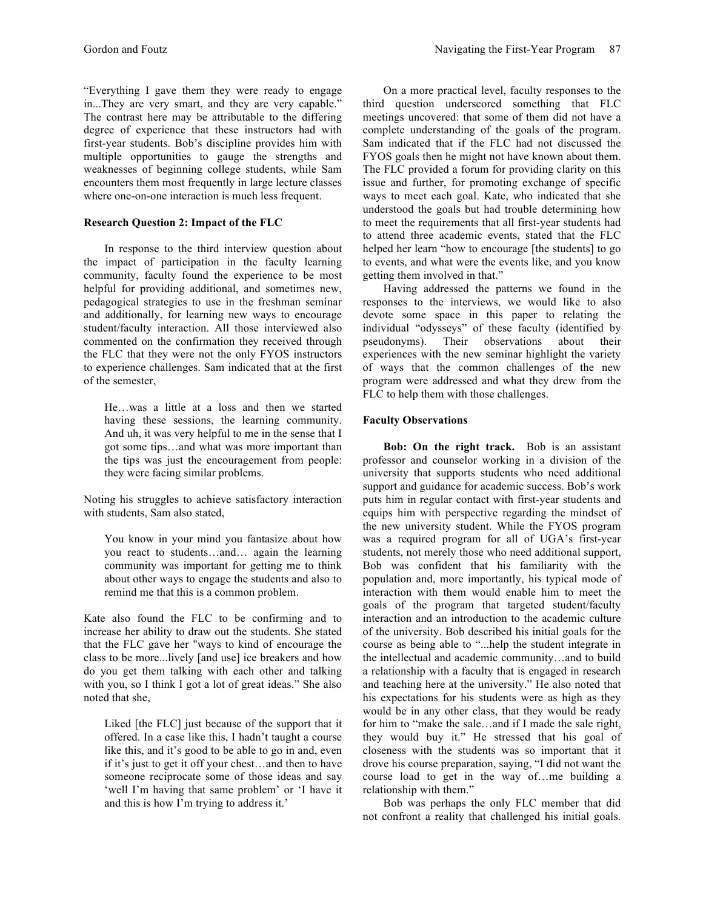"Everything I gave them they were ready to engage in...They are very smart, and they are very capable." The contrast here may be attributable to the differing degree of experience that these instructors had with first-year students. Bob's discipline provides him with multiple opportunities to gauge the strengths and weaknesses of beginning college students, while Sam encounters them most frequently in large lecture classes where one-on-one interaction is much less frequent.

## **Research Question 2: Impact of the FLC**

In response to the third interview question about the impact of participation in the faculty learning community, faculty found the experience to be most helpful for providing additional, and sometimes new, pedagogical strategies to use in the freshman seminar and additionally, for learning new ways to encourage student/faculty interaction. All those interviewed also commented on the confirmation they received through the FLC that they were not the only FYOS instructors to experience challenges. Sam indicated that at the first of the semester,

He…was a little at a loss and then we started having these sessions, the learning community. And uh, it was very helpful to me in the sense that I got some tips…and what was more important than the tips was just the encouragement from people: they were facing similar problems.

Noting his struggles to achieve satisfactory interaction with students, Sam also stated,

You know in your mind you fantasize about how you react to students…and… again the learning community was important for getting me to think about other ways to engage the students and also to remind me that this is a common problem.

Kate also found the FLC to be confirming and to increase her ability to draw out the students. She stated that the FLC gave her "ways to kind of encourage the class to be more...lively [and use] ice breakers and how do you get them talking with each other and talking with you, so I think I got a lot of great ideas." She also noted that she,

Liked [the FLC] just because of the support that it offered. In a case like this, I hadn't taught a course like this, and it's good to be able to go in and, even if it's just to get it off your chest…and then to have someone reciprocate some of those ideas and say 'well I'm having that same problem' or 'I have it and this is how I'm trying to address it.'

On a more practical level, faculty responses to the third question underscored something that FLC meetings uncovered: that some of them did not have a complete understanding of the goals of the program. Sam indicated that if the FLC had not discussed the FYOS goals then he might not have known about them. The FLC provided a forum for providing clarity on this issue and further, for promoting exchange of specific ways to meet each goal. Kate, who indicated that she understood the goals but had trouble determining how to meet the requirements that all first-year students had to attend three academic events, stated that the FLC helped her learn "how to encourage [the students] to go to events, and what were the events like, and you know getting them involved in that."

Having addressed the patterns we found in the responses to the interviews, we would like to also devote some space in this paper to relating the individual "odysseys" of these faculty (identified by pseudonyms). Their observations about their experiences with the new seminar highlight the variety of ways that the common challenges of the new program were addressed and what they drew from the FLC to help them with those challenges.

## **Faculty Observations**

**Bob: On the right track.** Bob is an assistant professor and counselor working in a division of the university that supports students who need additional support and guidance for academic success. Bob's work puts him in regular contact with first-year students and equips him with perspective regarding the mindset of the new university student. While the FYOS program was a required program for all of UGA's first-year students, not merely those who need additional support, Bob was confident that his familiarity with the population and, more importantly, his typical mode of interaction with them would enable him to meet the goals of the program that targeted student/faculty interaction and an introduction to the academic culture of the university. Bob described his initial goals for the course as being able to "...help the student integrate in the intellectual and academic community…and to build a relationship with a faculty that is engaged in research and teaching here at the university." He also noted that his expectations for his students were as high as they would be in any other class, that they would be ready for him to "make the sale…and if I made the sale right, they would buy it." He stressed that his goal of closeness with the students was so important that it drove his course preparation, saying, "I did not want the course load to get in the way of…me building a relationship with them."

Bob was perhaps the only FLC member that did not confront a reality that challenged his initial goals.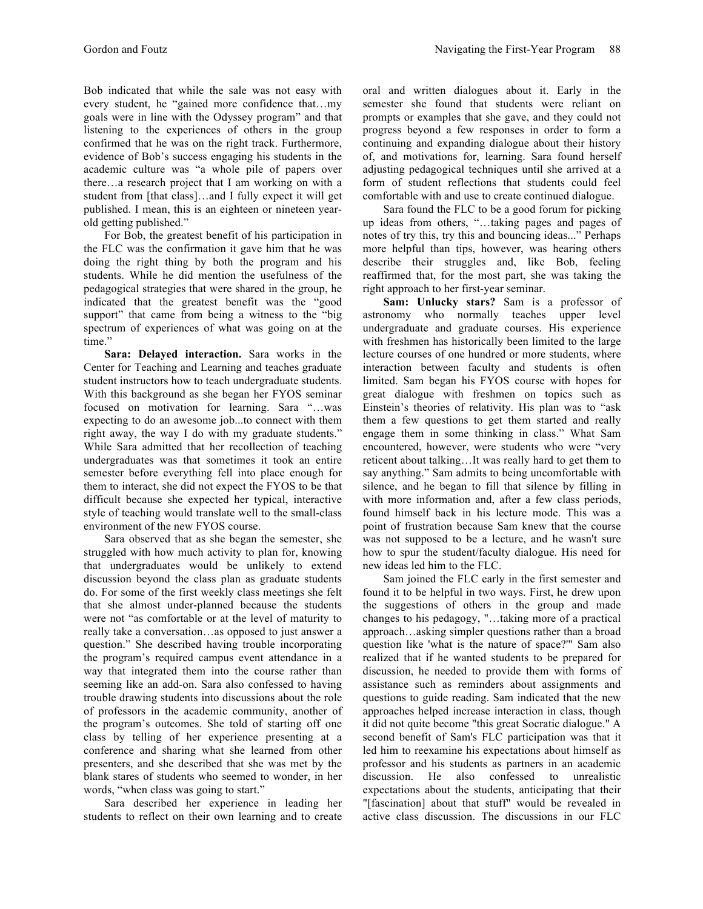Bob indicated that while the sale was not easy with every student, he "gained more confidence that…my goals were in line with the Odyssey program" and that listening to the experiences of others in the group confirmed that he was on the right track. Furthermore, evidence of Bob's success engaging his students in the academic culture was "a whole pile of papers over there…a research project that I am working on with a student from [that class]…and I fully expect it will get published. I mean, this is an eighteen or nineteen yearold getting published."

For Bob, the greatest benefit of his participation in the FLC was the confirmation it gave him that he was doing the right thing by both the program and his students. While he did mention the usefulness of the pedagogical strategies that were shared in the group, he indicated that the greatest benefit was the "good support" that came from being a witness to the "big spectrum of experiences of what was going on at the time."

**Sara: Delayed interaction.** Sara works in the Center for Teaching and Learning and teaches graduate student instructors how to teach undergraduate students. With this background as she began her FYOS seminar focused on motivation for learning. Sara "…was expecting to do an awesome job...to connect with them right away, the way I do with my graduate students." While Sara admitted that her recollection of teaching undergraduates was that sometimes it took an entire semester before everything fell into place enough for them to interact, she did not expect the FYOS to be that difficult because she expected her typical, interactive style of teaching would translate well to the small-class environment of the new FYOS course.

Sara observed that as she began the semester, she struggled with how much activity to plan for, knowing that undergraduates would be unlikely to extend discussion beyond the class plan as graduate students do. For some of the first weekly class meetings she felt that she almost under-planned because the students were not "as comfortable or at the level of maturity to really take a conversation…as opposed to just answer a question." She described having trouble incorporating the program's required campus event attendance in a way that integrated them into the course rather than seeming like an add-on. Sara also confessed to having trouble drawing students into discussions about the role of professors in the academic community, another of the program's outcomes. She told of starting off one class by telling of her experience presenting at a conference and sharing what she learned from other presenters, and she described that she was met by the blank stares of students who seemed to wonder, in her words, "when class was going to start."

Sara described her experience in leading her students to reflect on their own learning and to create oral and written dialogues about it. Early in the semester she found that students were reliant on prompts or examples that she gave, and they could not progress beyond a few responses in order to form a continuing and expanding dialogue about their history of, and motivations for, learning. Sara found herself adjusting pedagogical techniques until she arrived at a form of student reflections that students could feel comfortable with and use to create continued dialogue.

Sara found the FLC to be a good forum for picking up ideas from others, "…taking pages and pages of notes of try this, try this and bouncing ideas..." Perhaps more helpful than tips, however, was hearing others describe their struggles and, like Bob, feeling reaffirmed that, for the most part, she was taking the right approach to her first-year seminar.

**Sam: Unlucky stars?** Sam is a professor of astronomy who normally teaches upper level undergraduate and graduate courses. His experience with freshmen has historically been limited to the large lecture courses of one hundred or more students, where interaction between faculty and students is often limited. Sam began his FYOS course with hopes for great dialogue with freshmen on topics such as Einstein's theories of relativity. His plan was to "ask them a few questions to get them started and really engage them in some thinking in class." What Sam encountered, however, were students who were "very reticent about talking…It was really hard to get them to say anything." Sam admits to being uncomfortable with silence, and he began to fill that silence by filling in with more information and, after a few class periods, found himself back in his lecture mode. This was a point of frustration because Sam knew that the course was not supposed to be a lecture, and he wasn't sure how to spur the student/faculty dialogue. His need for new ideas led him to the FLC.

Sam joined the FLC early in the first semester and found it to be helpful in two ways. First, he drew upon the suggestions of others in the group and made changes to his pedagogy, "…taking more of a practical approach…asking simpler questions rather than a broad question like 'what is the nature of space?'" Sam also realized that if he wanted students to be prepared for discussion, he needed to provide them with forms of assistance such as reminders about assignments and questions to guide reading. Sam indicated that the new approaches helped increase interaction in class, though it did not quite become "this great Socratic dialogue." A second benefit of Sam's FLC participation was that it led him to reexamine his expectations about himself as professor and his students as partners in an academic discussion. He also confessed to unrealistic expectations about the students, anticipating that their "[fascination] about that stuff" would be revealed in active class discussion. The discussions in our FLC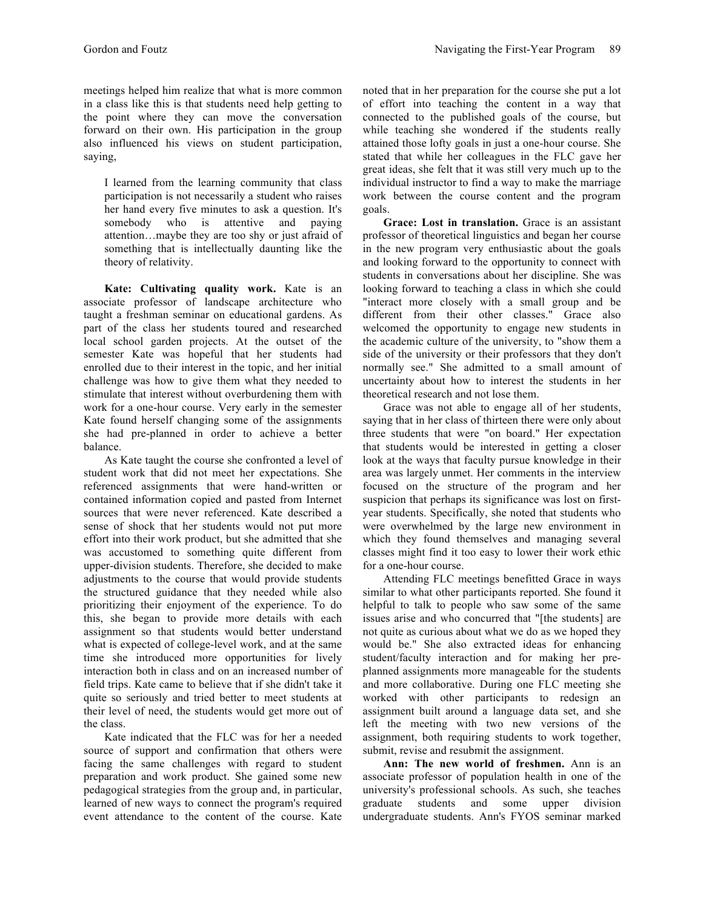meetings helped him realize that what is more common in a class like this is that students need help getting to the point where they can move the conversation forward on their own. His participation in the group also influenced his views on student participation, saying,

I learned from the learning community that class participation is not necessarily a student who raises her hand every five minutes to ask a question. It's somebody who is attentive and paying attention…maybe they are too shy or just afraid of something that is intellectually daunting like the theory of relativity.

**Kate: Cultivating quality work.** Kate is an associate professor of landscape architecture who taught a freshman seminar on educational gardens. As part of the class her students toured and researched local school garden projects. At the outset of the semester Kate was hopeful that her students had enrolled due to their interest in the topic, and her initial challenge was how to give them what they needed to stimulate that interest without overburdening them with work for a one-hour course. Very early in the semester Kate found herself changing some of the assignments she had pre-planned in order to achieve a better balance.

As Kate taught the course she confronted a level of student work that did not meet her expectations. She referenced assignments that were hand-written or contained information copied and pasted from Internet sources that were never referenced. Kate described a sense of shock that her students would not put more effort into their work product, but she admitted that she was accustomed to something quite different from upper-division students. Therefore, she decided to make adjustments to the course that would provide students the structured guidance that they needed while also prioritizing their enjoyment of the experience. To do this, she began to provide more details with each assignment so that students would better understand what is expected of college-level work, and at the same time she introduced more opportunities for lively interaction both in class and on an increased number of field trips. Kate came to believe that if she didn't take it quite so seriously and tried better to meet students at their level of need, the students would get more out of the class.

Kate indicated that the FLC was for her a needed source of support and confirmation that others were facing the same challenges with regard to student preparation and work product. She gained some new pedagogical strategies from the group and, in particular, learned of new ways to connect the program's required event attendance to the content of the course. Kate

noted that in her preparation for the course she put a lot of effort into teaching the content in a way that connected to the published goals of the course, but while teaching she wondered if the students really attained those lofty goals in just a one-hour course. She stated that while her colleagues in the FLC gave her great ideas, she felt that it was still very much up to the individual instructor to find a way to make the marriage work between the course content and the program goals.

**Grace: Lost in translation.** Grace is an assistant professor of theoretical linguistics and began her course in the new program very enthusiastic about the goals and looking forward to the opportunity to connect with students in conversations about her discipline. She was looking forward to teaching a class in which she could "interact more closely with a small group and be different from their other classes." Grace also welcomed the opportunity to engage new students in the academic culture of the university, to "show them a side of the university or their professors that they don't normally see." She admitted to a small amount of uncertainty about how to interest the students in her theoretical research and not lose them.

Grace was not able to engage all of her students, saying that in her class of thirteen there were only about three students that were "on board." Her expectation that students would be interested in getting a closer look at the ways that faculty pursue knowledge in their area was largely unmet. Her comments in the interview focused on the structure of the program and her suspicion that perhaps its significance was lost on firstyear students. Specifically, she noted that students who were overwhelmed by the large new environment in which they found themselves and managing several classes might find it too easy to lower their work ethic for a one-hour course.

Attending FLC meetings benefitted Grace in ways similar to what other participants reported. She found it helpful to talk to people who saw some of the same issues arise and who concurred that "[the students] are not quite as curious about what we do as we hoped they would be." She also extracted ideas for enhancing student/faculty interaction and for making her preplanned assignments more manageable for the students and more collaborative. During one FLC meeting she worked with other participants to redesign an assignment built around a language data set, and she left the meeting with two new versions of the assignment, both requiring students to work together, submit, revise and resubmit the assignment.

**Ann: The new world of freshmen.** Ann is an associate professor of population health in one of the university's professional schools. As such, she teaches graduate students and some upper division undergraduate students. Ann's FYOS seminar marked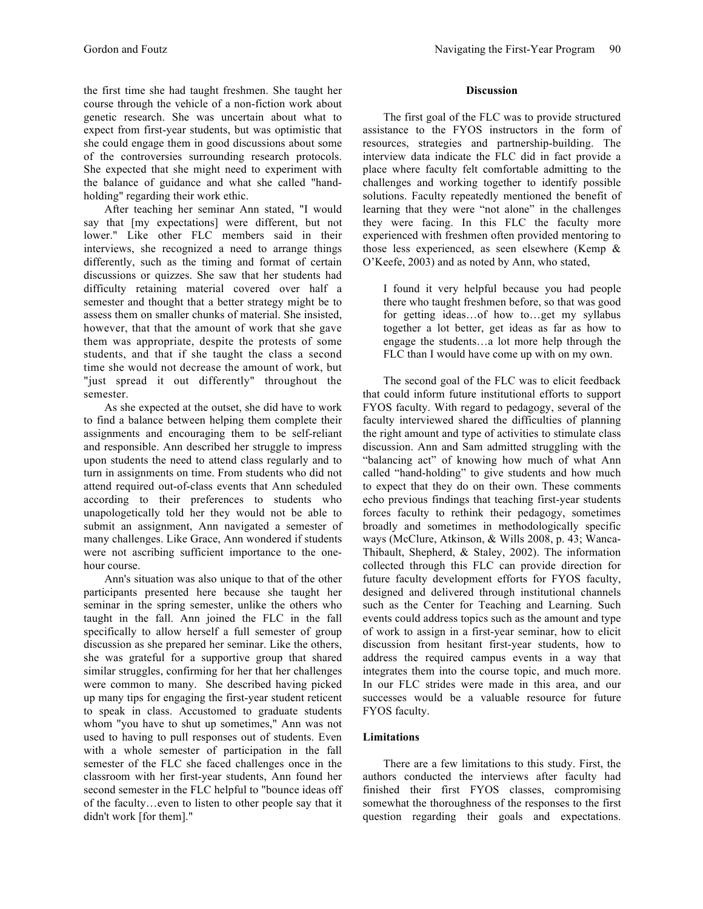the first time she had taught freshmen. She taught her course through the vehicle of a non-fiction work about genetic research. She was uncertain about what to expect from first-year students, but was optimistic that she could engage them in good discussions about some of the controversies surrounding research protocols. She expected that she might need to experiment with the balance of guidance and what she called "handholding" regarding their work ethic.

After teaching her seminar Ann stated, "I would say that [my expectations] were different, but not lower." Like other FLC members said in their interviews, she recognized a need to arrange things differently, such as the timing and format of certain discussions or quizzes. She saw that her students had difficulty retaining material covered over half a semester and thought that a better strategy might be to assess them on smaller chunks of material. She insisted, however, that that the amount of work that she gave them was appropriate, despite the protests of some students, and that if she taught the class a second time she would not decrease the amount of work, but "just spread it out differently" throughout the semester.

As she expected at the outset, she did have to work to find a balance between helping them complete their assignments and encouraging them to be self-reliant and responsible. Ann described her struggle to impress upon students the need to attend class regularly and to turn in assignments on time. From students who did not attend required out-of-class events that Ann scheduled according to their preferences to students who unapologetically told her they would not be able to submit an assignment, Ann navigated a semester of many challenges. Like Grace, Ann wondered if students were not ascribing sufficient importance to the onehour course.

Ann's situation was also unique to that of the other participants presented here because she taught her seminar in the spring semester, unlike the others who taught in the fall. Ann joined the FLC in the fall specifically to allow herself a full semester of group discussion as she prepared her seminar. Like the others, she was grateful for a supportive group that shared similar struggles, confirming for her that her challenges were common to many. She described having picked up many tips for engaging the first-year student reticent to speak in class. Accustomed to graduate students whom "you have to shut up sometimes," Ann was not used to having to pull responses out of students. Even with a whole semester of participation in the fall semester of the FLC she faced challenges once in the classroom with her first-year students, Ann found her second semester in the FLC helpful to "bounce ideas off of the faculty…even to listen to other people say that it didn't work [for them]."

# **Discussion**

The first goal of the FLC was to provide structured assistance to the FYOS instructors in the form of resources, strategies and partnership-building. The interview data indicate the FLC did in fact provide a place where faculty felt comfortable admitting to the challenges and working together to identify possible solutions. Faculty repeatedly mentioned the benefit of learning that they were "not alone" in the challenges they were facing. In this FLC the faculty more experienced with freshmen often provided mentoring to those less experienced, as seen elsewhere (Kemp & O'Keefe, 2003) and as noted by Ann, who stated,

I found it very helpful because you had people there who taught freshmen before, so that was good for getting ideas…of how to…get my syllabus together a lot better, get ideas as far as how to engage the students…a lot more help through the FLC than I would have come up with on my own.

The second goal of the FLC was to elicit feedback that could inform future institutional efforts to support FYOS faculty. With regard to pedagogy, several of the faculty interviewed shared the difficulties of planning the right amount and type of activities to stimulate class discussion. Ann and Sam admitted struggling with the "balancing act" of knowing how much of what Ann called "hand-holding" to give students and how much to expect that they do on their own. These comments echo previous findings that teaching first-year students forces faculty to rethink their pedagogy, sometimes broadly and sometimes in methodologically specific ways (McClure, Atkinson, & Wills 2008, p. 43; Wanca-Thibault, Shepherd, & Staley, 2002). The information collected through this FLC can provide direction for future faculty development efforts for FYOS faculty, designed and delivered through institutional channels such as the Center for Teaching and Learning. Such events could address topics such as the amount and type of work to assign in a first-year seminar, how to elicit discussion from hesitant first-year students, how to address the required campus events in a way that integrates them into the course topic, and much more. In our FLC strides were made in this area, and our successes would be a valuable resource for future FYOS faculty.

# **Limitations**

There are a few limitations to this study. First, the authors conducted the interviews after faculty had finished their first FYOS classes, compromising somewhat the thoroughness of the responses to the first question regarding their goals and expectations.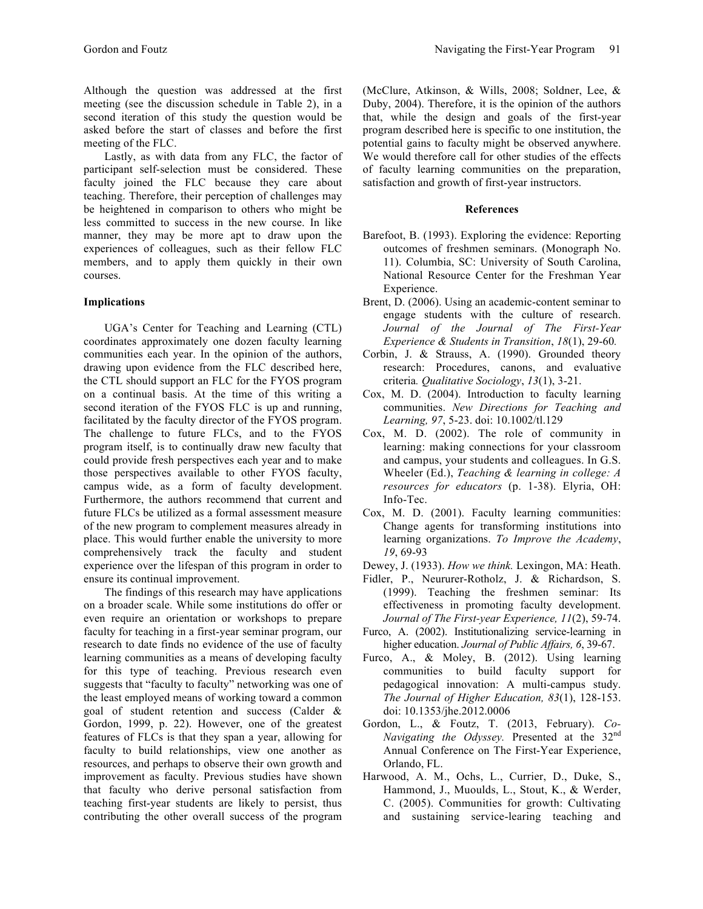Although the question was addressed at the first meeting (see the discussion schedule in Table 2), in a second iteration of this study the question would be asked before the start of classes and before the first meeting of the FLC.

Lastly, as with data from any FLC, the factor of participant self-selection must be considered. These faculty joined the FLC because they care about teaching. Therefore, their perception of challenges may be heightened in comparison to others who might be less committed to success in the new course. In like manner, they may be more apt to draw upon the experiences of colleagues, such as their fellow FLC members, and to apply them quickly in their own courses.

## **Implications**

UGA's Center for Teaching and Learning (CTL) coordinates approximately one dozen faculty learning communities each year. In the opinion of the authors, drawing upon evidence from the FLC described here, the CTL should support an FLC for the FYOS program on a continual basis. At the time of this writing a second iteration of the FYOS FLC is up and running, facilitated by the faculty director of the FYOS program. The challenge to future FLCs, and to the FYOS program itself, is to continually draw new faculty that could provide fresh perspectives each year and to make those perspectives available to other FYOS faculty, campus wide, as a form of faculty development. Furthermore, the authors recommend that current and future FLCs be utilized as a formal assessment measure of the new program to complement measures already in place. This would further enable the university to more comprehensively track the faculty and student experience over the lifespan of this program in order to ensure its continual improvement.

The findings of this research may have applications on a broader scale. While some institutions do offer or even require an orientation or workshops to prepare faculty for teaching in a first-year seminar program, our research to date finds no evidence of the use of faculty learning communities as a means of developing faculty for this type of teaching. Previous research even suggests that "faculty to faculty" networking was one of the least employed means of working toward a common goal of student retention and success (Calder & Gordon, 1999, p. 22). However, one of the greatest features of FLCs is that they span a year, allowing for faculty to build relationships, view one another as resources, and perhaps to observe their own growth and improvement as faculty. Previous studies have shown that faculty who derive personal satisfaction from teaching first-year students are likely to persist, thus contributing the other overall success of the program (McClure, Atkinson, & Wills, 2008; Soldner, Lee, & Duby, 2004). Therefore, it is the opinion of the authors that, while the design and goals of the first-year program described here is specific to one institution, the potential gains to faculty might be observed anywhere. We would therefore call for other studies of the effects of faculty learning communities on the preparation, satisfaction and growth of first-year instructors.

## **References**

- Barefoot, B. (1993). Exploring the evidence: Reporting outcomes of freshmen seminars. (Monograph No. 11). Columbia, SC: University of South Carolina, National Resource Center for the Freshman Year Experience.
- Brent, D. (2006). Using an academic-content seminar to engage students with the culture of research. *Journal of the Journal of The First-Year Experience & Students in Transition*, *18*(1), 29-60*.*
- Corbin, J. & Strauss, A. (1990). Grounded theory research: Procedures, canons, and evaluative criteria*. Qualitative Sociology*, *13*(1), 3-21.
- Cox, M. D. (2004). Introduction to faculty learning communities. *New Directions for Teaching and Learning, 97*, 5-23. doi: 10.1002/tl.129
- Cox, M. D. (2002). The role of community in learning: making connections for your classroom and campus, your students and colleagues. In G.S. Wheeler (Ed.), *Teaching & learning in college: A resources for educators* (p. 1-38). Elyria, OH: Info-Tec.
- Cox, M. D. (2001). Faculty learning communities: Change agents for transforming institutions into learning organizations. *To Improve the Academy*, *19*, 69-93
- Dewey, J. (1933). *How we think.* Lexingon, MA: Heath.
- Fidler, P., Neururer-Rotholz, J. & Richardson, S. (1999). Teaching the freshmen seminar: Its effectiveness in promoting faculty development. *Journal of The First-year Experience, 11*(2), 59-74.
- Furco, A. (2002). Institutionalizing service-learning in higher education. *Journal of Public Affairs, 6*, 39-67.
- Furco, A., & Moley, B. (2012). Using learning communities to build faculty support for pedagogical innovation: A multi-campus study. *The Journal of Higher Education, 83*(1), 128-153. doi: 10.1353/jhe.2012.0006
- Gordon, L., & Foutz, T. (2013, February). *Co-Navigating the Odyssey.* Presented at the 32nd Annual Conference on The First-Year Experience, Orlando, FL.
- Harwood, A. M., Ochs, L., Currier, D., Duke, S., Hammond, J., Muoulds, L., Stout, K., & Werder, C. (2005). Communities for growth: Cultivating and sustaining service-learing teaching and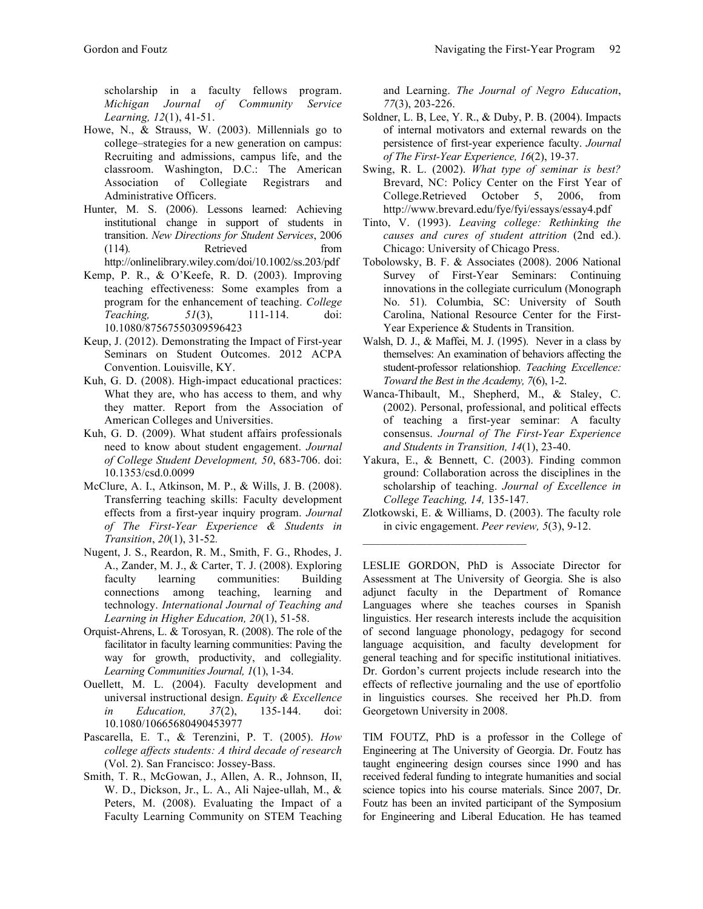scholarship in a faculty fellows program. *Michigan Journal of Community Service Learning, 12*(1), 41-51.

- Howe, N., & Strauss, W. (2003). Millennials go to college–strategies for a new generation on campus: Recruiting and admissions, campus life, and the classroom. Washington, D.C.: The American Association of Collegiate Registrars and Administrative Officers.
- Hunter, M. S. (2006). Lessons learned: Achieving institutional change in support of students in transition. *New Directions for Student Services*, 2006 (114)*.* Retrieved from http://onlinelibrary.wiley.com/doi/10.1002/ss.203/pdf
- Kemp, P. R., & O'Keefe, R. D. (2003). Improving teaching effectiveness: Some examples from a program for the enhancement of teaching. *College Teaching, 51*(3), 111-114. doi: 10.1080/87567550309596423
- Keup, J. (2012). Demonstrating the Impact of First-year Seminars on Student Outcomes. 2012 ACPA Convention. Louisville, KY.
- Kuh, G. D. (2008). High-impact educational practices: What they are, who has access to them, and why they matter. Report from the Association of American Colleges and Universities.
- Kuh, G. D. (2009). What student affairs professionals need to know about student engagement. *Journal of College Student Development, 50*, 683-706. doi: 10.1353/csd.0.0099
- McClure, A. I., Atkinson, M. P., & Wills, J. B. (2008). Transferring teaching skills: Faculty development effects from a first-year inquiry program. *Journal of The First-Year Experience & Students in Transition*, *20*(1), 31-52*.*
- Nugent, J. S., Reardon, R. M., Smith, F. G., Rhodes, J. A., Zander, M. J., & Carter, T. J. (2008). Exploring faculty learning communities: Building connections among teaching, learning and technology. *International Journal of Teaching and Learning in Higher Education, 20*(1), 51-58.
- Orquist-Ahrens, L. & Torosyan, R. (2008). The role of the facilitator in faculty learning communities: Paving the way for growth, productivity, and collegiality*. Learning Communities Journal, 1*(1), 1-34.
- Ouellett, M. L. (2004). Faculty development and universal instructional design. *Equity & Excellence in Education, 37*(2), 135-144. doi: 10.1080/10665680490453977
- Pascarella, E. T., & Terenzini, P. T. (2005). *How college affects students: A third decade of research*  (Vol. 2). San Francisco: Jossey-Bass.
- Smith, T. R., McGowan, J., Allen, A. R., Johnson, II, W. D., Dickson, Jr., L. A., Ali Najee-ullah, M., & Peters, M. (2008). Evaluating the Impact of a Faculty Learning Community on STEM Teaching

and Learning. *The Journal of Negro Education*, *77*(3), 203-226.

- Soldner, L. B, Lee, Y. R., & Duby, P. B. (2004). Impacts of internal motivators and external rewards on the persistence of first-year experience faculty. *Journal of The First-Year Experience, 16*(2), 19-37.
- Swing, R. L. (2002). *What type of seminar is best?*  Brevard, NC: Policy Center on the First Year of College.Retrieved October 5, 2006, from http://www.brevard.edu/fye/fyi/essays/essay4.pdf
- Tinto, V. (1993). *Leaving college: Rethinking the causes and cures of student attrition* (2nd ed.). Chicago: University of Chicago Press.
- Tobolowsky, B. F. & Associates (2008). 2006 National Survey of First-Year Seminars: Continuing innovations in the collegiate curriculum (Monograph No. 51). Columbia, SC: University of South Carolina, National Resource Center for the First-Year Experience & Students in Transition.
- Walsh, D. J., & Maffei, M. J. (1995). Never in a class by themselves: An examination of behaviors affecting the student-professor relationshiop. *Teaching Excellence: Toward the Best in the Academy, 7*(6), 1-2.
- Wanca-Thibault, M., Shepherd, M., & Staley, C. (2002). Personal, professional, and political effects of teaching a first-year seminar: A faculty consensus. *Journal of The First-Year Experience and Students in Transition, 14*(1), 23-40.
- Yakura, E., & Bennett, C. (2003). Finding common ground: Collaboration across the disciplines in the scholarship of teaching. *Journal of Excellence in College Teaching, 14,* 135-147.
- Zlotkowski, E. & Williams, D. (2003). The faculty role in civic engagement. *Peer review, 5*(3), 9-12.

LESLIE GORDON, PhD is Associate Director for Assessment at The University of Georgia. She is also adjunct faculty in the Department of Romance Languages where she teaches courses in Spanish linguistics. Her research interests include the acquisition of second language phonology, pedagogy for second language acquisition, and faculty development for general teaching and for specific institutional initiatives. Dr. Gordon's current projects include research into the effects of reflective journaling and the use of eportfolio in linguistics courses. She received her Ph.D. from Georgetown University in 2008.

TIM FOUTZ, PhD is a professor in the College of Engineering at The University of Georgia. Dr. Foutz has taught engineering design courses since 1990 and has received federal funding to integrate humanities and social science topics into his course materials. Since 2007, Dr. Foutz has been an invited participant of the Symposium for Engineering and Liberal Education. He has teamed